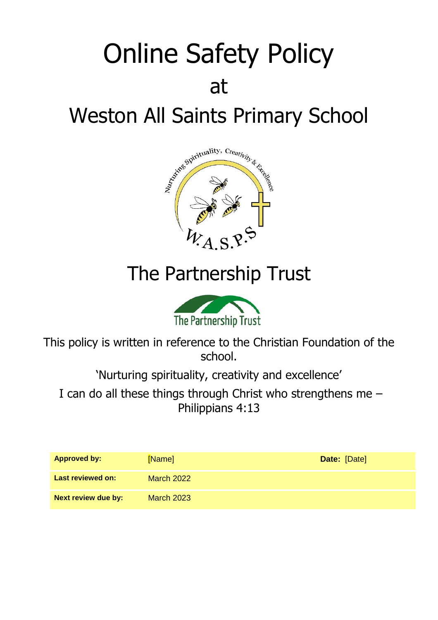# Online Safety Policy at Weston All Saints Primary School



## The Partnership Trust



This policy is written in reference to the Christian Foundation of the school.

'Nurturing spirituality, creativity and excellence'

I can do all these things through Christ who strengthens me – Philippians 4:13

| <b>Approved by:</b>        | [Name]            | Date: [Date] |
|----------------------------|-------------------|--------------|
| <b>Last reviewed on:</b>   | March 2022        |              |
| <b>Next review due by:</b> | <b>March 2023</b> |              |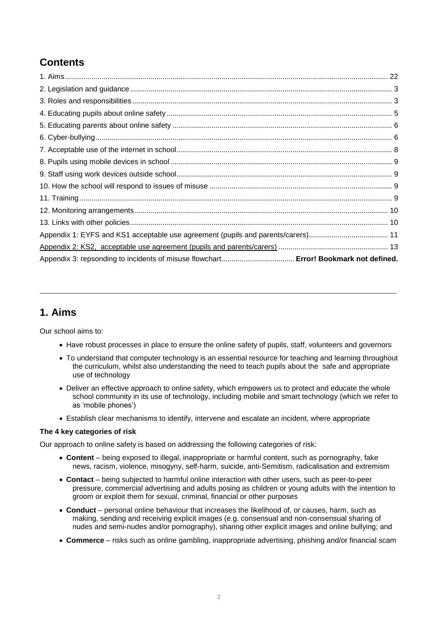## **Contents**

| Appendix 3: repsonding to incidents of misuse flowchart Error! Bookmark not defined. |  |
|--------------------------------------------------------------------------------------|--|

## <span id="page-1-0"></span>**1. Aims**

Our school aims to:

- Have robust processes in place to ensure the online safety of pupils, staff, volunteers and governors
- To understand that computer technology is an essential resource for teaching and learning throughout the curriculum, whilst also understanding the need to teach pupils about the safe and appropriate use of technology
- Deliver an effective approach to online safety, which empowers us to protect and educate the whole school community in its use of technology, including mobile and smart technology (which we refer to as 'mobile phones')
- Establish clear mechanisms to identify, intervene and escalate an incident, where appropriate

#### **The 4 key categories of risk**

Our approach to online safety is based on addressing the following categories of risk:

- **Content** being exposed to illegal, inappropriate or harmful content, such as pornography, fake news, racism, violence, misogyny, self-harm, suicide, anti-Semitism, radicalisation and extremism
- **Contact** being subjected to harmful online interaction with other users, such as peer-to-peer pressure, commercial advertising and adults posing as children or young adults with the intention to groom or exploit them for sexual, criminal, financial or other purposes
- **Conduct** personal online behaviour that increases the likelihood of, or causes, harm, such as making, sending and receiving explicit images (e.g. consensual and non-consensual sharing of nudes and semi-nudes and/or pornography), sharing other explicit images and online bullying; and
- **Commerce** risks such as online gambling, inappropriate advertising, phishing and/or financial scam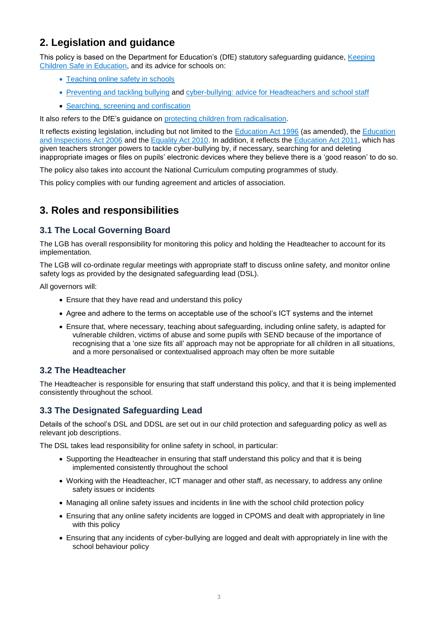## <span id="page-2-0"></span>**2. Legislation and guidance**

This policy is based on the Department for Education's (DfE) statutory safeguarding guidance, [Keeping](https://www.gov.uk/government/publications/keeping-children-safe-in-education--2)  [Children Safe in Education,](https://www.gov.uk/government/publications/keeping-children-safe-in-education--2) and its advice for schools on:

- [Teaching online safety in schools](https://www.gov.uk/government/publications/teaching-online-safety-in-schools)
- [Preventing and tackling bullying](https://www.gov.uk/government/publications/preventing-and-tackling-bullying) and [cyber-bullying: advice for Headteachers and school staff](https://www.gov.uk/government/publications/preventing-and-tackling-bullying)
- [Searching, screening and confiscation](https://www.gov.uk/government/publications/searching-screening-and-confiscation)

It also refers to the DfE's guidance on [protecting children from radicalisation.](https://www.gov.uk/government/publications/protecting-children-from-radicalisation-the-prevent-duty)

It reflects existing legislation, including but not limited to the [Education Act 1996](https://www.legislation.gov.uk/ukpga/1996/56/contents) (as amended), the Education [and Inspections Act 2006](https://www.legislation.gov.uk/ukpga/2006/40/contents) and the [Equality Act 2010.](https://www.legislation.gov.uk/ukpga/2010/15/contents) In addition, it reflects the [Education Act 2011,](http://www.legislation.gov.uk/ukpga/2011/21/contents/enacted) which has given teachers stronger powers to tackle cyber-bullying by, if necessary, searching for and deleting inappropriate images or files on pupils' electronic devices where they believe there is a 'good reason' to do so.

The policy also takes into account the National Curriculum computing programmes of study.

This policy complies with our funding agreement and articles of association.

## <span id="page-2-1"></span>**3. Roles and responsibilities**

## **3.1 The Local Governing Board**

The LGB has overall responsibility for monitoring this policy and holding the Headteacher to account for its implementation.

The LGB will co-ordinate regular meetings with appropriate staff to discuss online safety, and monitor online safety logs as provided by the designated safeguarding lead (DSL).

All governors will:

- Ensure that they have read and understand this policy
- Agree and adhere to the terms on acceptable use of the school's ICT systems and the internet
- Ensure that, where necessary, teaching about safeguarding, including online safety, is adapted for vulnerable children, victims of abuse and some pupils with SEND because of the importance of recognising that a 'one size fits all' approach may not be appropriate for all children in all situations, and a more personalised or contextualised approach may often be more suitable

## **3.2 The Headteacher**

The Headteacher is responsible for ensuring that staff understand this policy, and that it is being implemented consistently throughout the school.

## **3.3 The Designated Safeguarding Lead**

Details of the school's DSL and DDSL are set out in our child protection and safeguarding policy as well as relevant job descriptions.

The DSL takes lead responsibility for online safety in school, in particular:

- Supporting the Headteacher in ensuring that staff understand this policy and that it is being implemented consistently throughout the school
- Working with the Headteacher, ICT manager and other staff, as necessary, to address any online safety issues or incidents
- Managing all online safety issues and incidents in line with the school child protection policy
- Ensuring that any online safety incidents are logged in CPOMS and dealt with appropriately in line with this policy
- Ensuring that any incidents of cyber-bullying are logged and dealt with appropriately in line with the school behaviour policy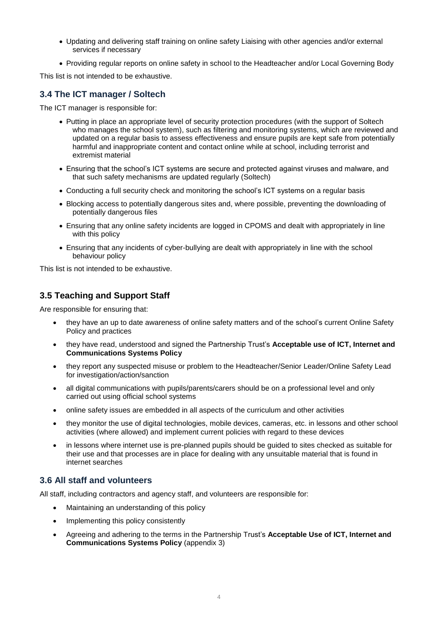- Updating and delivering staff training on online safety Liaising with other agencies and/or external services if necessary
- Providing regular reports on online safety in school to the Headteacher and/or Local Governing Body

This list is not intended to be exhaustive.

## **3.4 The ICT manager / Soltech**

The ICT manager is responsible for:

- Putting in place an appropriate level of security protection procedures (with the support of Soltech who manages the school system), such as filtering and monitoring systems, which are reviewed and updated on a regular basis to assess effectiveness and ensure pupils are kept safe from potentially harmful and inappropriate content and contact online while at school, including terrorist and extremist material
- Ensuring that the school's ICT systems are secure and protected against viruses and malware, and that such safety mechanisms are updated regularly (Soltech)
- Conducting a full security check and monitoring the school's ICT systems on a regular basis
- Blocking access to potentially dangerous sites and, where possible, preventing the downloading of potentially dangerous files
- Ensuring that any online safety incidents are logged in CPOMS and dealt with appropriately in line with this policy
- Ensuring that any incidents of cyber-bullying are dealt with appropriately in line with the school behaviour policy

This list is not intended to be exhaustive.

### **3.5 Teaching and Support Staff**

Are responsible for ensuring that:

- they have an up to date awareness of online safety matters and of the school's current Online Safety Policy and practices
- they have read, understood and signed the Partnership Trust's **Acceptable use of ICT, Internet and Communications Systems Policy**
- they report any suspected misuse or problem to the Headteacher/Senior Leader/Online Safety Lead for investigation/action/sanction
- all digital communications with pupils/parents/carers should be on a professional level and only carried out using official school systems
- online safety issues are embedded in all aspects of the curriculum and other activities
- they monitor the use of digital technologies, mobile devices, cameras, etc. in lessons and other school activities (where allowed) and implement current policies with regard to these devices
- in lessons where internet use is pre-planned pupils should be guided to sites checked as suitable for their use and that processes are in place for dealing with any unsuitable material that is found in internet searches

#### **3.6 All staff and volunteers**

All staff, including contractors and agency staff, and volunteers are responsible for:

- Maintaining an understanding of this policy
- Implementing this policy consistently
- Agreeing and adhering to the terms in the Partnership Trust's **Acceptable Use of ICT, Internet and Communications Systems Policy** (appendix 3)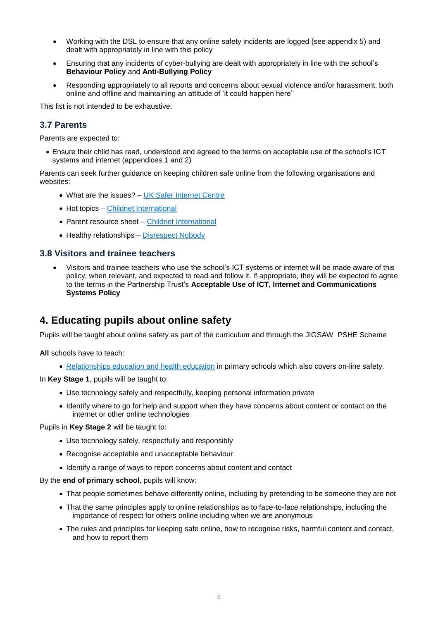- Working with the DSL to ensure that any online safety incidents are logged (see appendix 5) and dealt with appropriately in line with this policy
- Ensuring that any incidents of cyber-bullying are dealt with appropriately in line with the school's **Behaviour Policy** and **Anti-Bullying Policy**
- Responding appropriately to all reports and concerns about sexual violence and/or harassment, both online and offline and maintaining an attitude of 'it could happen here'

This list is not intended to be exhaustive.

#### **3.7 Parents**

Parents are expected to:

• Ensure their child has read, understood and agreed to the terms on acceptable use of the school's ICT systems and internet (appendices 1 and 2)

Parents can seek further guidance on keeping children safe online from the following organisations and websites:

- What are the issues? [UK Safer Internet Centre](https://www.saferinternet.org.uk/advice-centre/parents-and-carers/what-are-issues)
- Hot topics [Childnet International](http://www.childnet.com/parents-and-carers/hot-topics)
- Parent resource sheet [Childnet International](https://www.childnet.com/resources/parents-and-carers-resource-sheet)
- Healthy relationships [Disrespect Nobody](https://www.disrespectnobody.co.uk/)

#### **3.8 Visitors and trainee teachers**

• Visitors and trainee teachers who use the school's ICT systems or internet will be made aware of this policy, when relevant, and expected to read and follow it. If appropriate, they will be expected to agree to the terms in the Partnership Trust's **Acceptable Use of ICT, Internet and Communications Systems Policy**

## <span id="page-4-0"></span>**4. Educating pupils about online safety**

Pupils will be taught about online safety as part of the curriculum and through the JIGSAW PSHE Scheme

**All** schools have to teach:

• [Relationships education and health education](https://schoolleaders.thekeysupport.com/uid/8b76f587-7bf6-4994-abf0-43850c6e8d73/) in primary schools which also covers on-line safety.

In **Key Stage 1**, pupils will be taught to:

- Use technology safely and respectfully, keeping personal information private
- Identify where to go for help and support when they have concerns about content or contact on the internet or other online technologies

Pupils in **Key Stage 2** will be taught to:

- Use technology safely, respectfully and responsibly
- Recognise acceptable and unacceptable behaviour
- Identify a range of ways to report concerns about content and contact

By the **end of primary school**, pupils will know:

- That people sometimes behave differently online, including by pretending to be someone they are not
- That the same principles apply to online relationships as to face-to-face relationships, including the importance of respect for others online including when we are anonymous
- The rules and principles for keeping safe online, how to recognise risks, harmful content and contact, and how to report them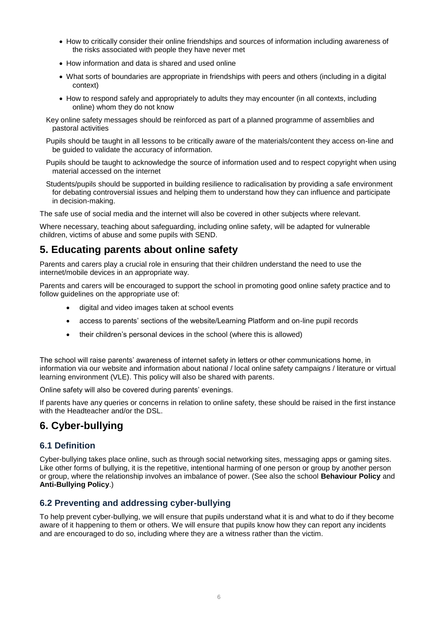- How to critically consider their online friendships and sources of information including awareness of the risks associated with people they have never met
- How information and data is shared and used online
- What sorts of boundaries are appropriate in friendships with peers and others (including in a digital context)
- How to respond safely and appropriately to adults they may encounter (in all contexts, including online) whom they do not know
- Key online safety messages should be reinforced as part of a planned programme of assemblies and pastoral activities
- Pupils should be taught in all lessons to be critically aware of the materials/content they access on-line and be guided to validate the accuracy of information.
- Pupils should be taught to acknowledge the source of information used and to respect copyright when using material accessed on the internet
- Students/pupils should be supported in building resilience to radicalisation by providing a safe environment for debating controversial issues and helping them to understand how they can influence and participate in decision-making.

The safe use of social media and the internet will also be covered in other subjects where relevant.

Where necessary, teaching about safeguarding, including online safety, will be adapted for vulnerable children, victims of abuse and some pupils with SEND.

## <span id="page-5-0"></span>**5. Educating parents about online safety**

Parents and carers play a crucial role in ensuring that their children understand the need to use the internet/mobile devices in an appropriate way.

Parents and carers will be encouraged to support the school in promoting good online safety practice and to follow guidelines on the appropriate use of:

- digital and video images taken at school events
- access to parents' sections of the website/Learning Platform and on-line pupil records
- their children's personal devices in the school (where this is allowed)

The school will raise parents' awareness of internet safety in letters or other communications home, in information via our website and information about national / local online safety campaigns / literature or virtual learning environment (VLE). This policy will also be shared with parents.

Online safety will also be covered during parents' evenings.

If parents have any queries or concerns in relation to online safety, these should be raised in the first instance with the Headteacher and/or the DSL.

## <span id="page-5-1"></span>**6. Cyber-bullying**

#### **6.1 Definition**

Cyber-bullying takes place online, such as through social networking sites, messaging apps or gaming sites. Like other forms of bullying, it is the repetitive, intentional harming of one person or group by another person or group, where the relationship involves an imbalance of power. (See also the school **Behaviour Policy** and **Anti-Bullying Policy**.)

## **6.2 Preventing and addressing cyber-bullying**

To help prevent cyber-bullying, we will ensure that pupils understand what it is and what to do if they become aware of it happening to them or others. We will ensure that pupils know how they can report any incidents and are encouraged to do so, including where they are a witness rather than the victim.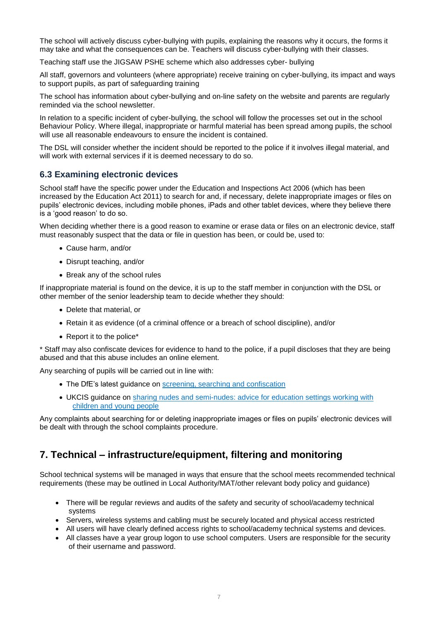The school will actively discuss cyber-bullying with pupils, explaining the reasons why it occurs, the forms it may take and what the consequences can be. Teachers will discuss cyber-bullying with their classes.

Teaching staff use the JIGSAW PSHE scheme which also addresses cyber- bullying

All staff, governors and volunteers (where appropriate) receive training on cyber-bullying, its impact and ways to support pupils, as part of safeguarding training

The school has information about cyber-bullying and on-line safety on the website and parents are regularly reminded via the school newsletter.

In relation to a specific incident of cyber-bullying, the school will follow the processes set out in the school Behaviour Policy. Where illegal, inappropriate or harmful material has been spread among pupils, the school will use all reasonable endeavours to ensure the incident is contained.

The DSL will consider whether the incident should be reported to the police if it involves illegal material, and will work with external services if it is deemed necessary to do so.

### **6.3 Examining electronic devices**

School staff have the specific power under the Education and Inspections Act 2006 (which has been increased by the Education Act 2011) to search for and, if necessary, delete inappropriate images or files on pupils' electronic devices, including mobile phones, iPads and other tablet devices, where they believe there is a 'good reason' to do so.

When deciding whether there is a good reason to examine or erase data or files on an electronic device, staff must reasonably suspect that the data or file in question has been, or could be, used to:

- Cause harm, and/or
- Disrupt teaching, and/or
- Break any of the school rules

If inappropriate material is found on the device, it is up to the staff member in conjunction with the DSL or other member of the senior leadership team to decide whether they should:

- Delete that material, or
- Retain it as evidence (of a criminal offence or a breach of school discipline), and/or
- Report it to the police\*

\* Staff may also confiscate devices for evidence to hand to the police, if a pupil discloses that they are being abused and that this abuse includes an online element.

Any searching of pupils will be carried out in line with:

- The DfE's latest quidance on [screening, searching and confiscation](https://www.gov.uk/government/publications/searching-screening-and-confiscation)
- UKCIS guidance on [sharing nudes and semi-nudes: advice for education settings working with](https://www.gov.uk/government/publications/sharing-nudes-and-semi-nudes-advice-for-education-settings-working-with-children-and-young-people)  [children and young people](https://www.gov.uk/government/publications/sharing-nudes-and-semi-nudes-advice-for-education-settings-working-with-children-and-young-people)

Any complaints about searching for or deleting inappropriate images or files on pupils' electronic devices will be dealt with through the school complaints procedure.

## **7. Technical – infrastructure/equipment, filtering and monitoring**

School technical systems will be managed in ways that ensure that the school meets recommended technical requirements (these may be outlined in Local Authority/MAT/other relevant body policy and guidance)

- There will be regular reviews and audits of the safety and security of school/academy technical systems
- Servers, wireless systems and cabling must be securely located and physical access restricted
- All users will have clearly defined access rights to school/academy technical systems and devices.
- All classes have a year group logon to use school computers. Users are responsible for the security of their username and password.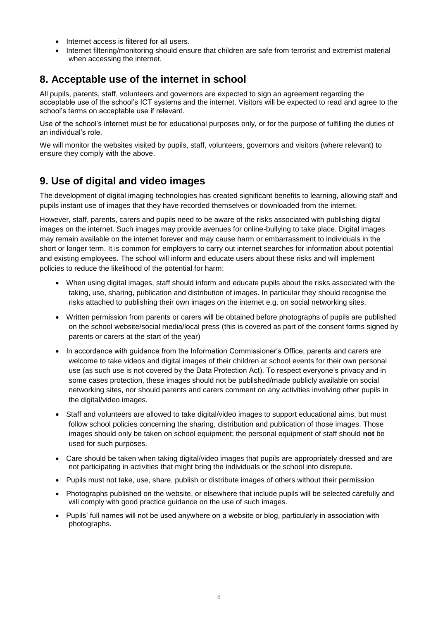- Internet access is filtered for all users.
- Internet filtering/monitoring should ensure that children are safe from terrorist and extremist material when accessing the internet.

## <span id="page-7-0"></span>**8. Acceptable use of the internet in school**

All pupils, parents, staff, volunteers and governors are expected to sign an agreement regarding the acceptable use of the school's ICT systems and the internet. Visitors will be expected to read and agree to the school's terms on acceptable use if relevant.

Use of the school's internet must be for educational purposes only, or for the purpose of fulfilling the duties of an individual's role.

We will monitor the websites visited by pupils, staff, volunteers, governors and visitors (where relevant) to ensure they comply with the above.

## **9. Use of digital and video images**

The development of digital imaging technologies has created significant benefits to learning, allowing staff and pupils instant use of images that they have recorded themselves or downloaded from the internet.

However, staff, parents, carers and pupils need to be aware of the risks associated with publishing digital images on the internet. Such images may provide avenues for online-bullying to take place. Digital images may remain available on the internet forever and may cause harm or embarrassment to individuals in the short or longer term. It is common for employers to carry out internet searches for information about potential and existing employees. The school will inform and educate users about these risks and will implement policies to reduce the likelihood of the potential for harm:

- When using digital images, staff should inform and educate pupils about the risks associated with the taking, use, sharing, publication and distribution of images. In particular they should recognise the risks attached to publishing their own images on the internet e.g. on social networking sites.
- Written permission from parents or carers will be obtained before photographs of pupils are published on the school website/social media/local press (this is covered as part of the consent forms signed by parents or carers at the start of the year)
- In accordance with quidance from the Information Commissioner's Office, parents and carers are welcome to take videos and digital images of their children at school events for their own personal use (as such use is not covered by the Data Protection Act). To respect everyone's privacy and in some cases protection, these images should not be published/made publicly available on social networking sites, nor should parents and carers comment on any activities involving other pupils in the digital/video images.
- Staff and volunteers are allowed to take digital/video images to support educational aims, but must follow school policies concerning the sharing, distribution and publication of those images. Those images should only be taken on school equipment; the personal equipment of staff should **not** be used for such purposes.
- Care should be taken when taking digital/video images that pupils are appropriately dressed and are not participating in activities that might bring the individuals or the school into disrepute.
- Pupils must not take, use, share, publish or distribute images of others without their permission
- Photographs published on the website, or elsewhere that include pupils will be selected carefully and will comply with good practice guidance on the use of such images.
- Pupils' full names will not be used anywhere on a website or blog, particularly in association with photographs.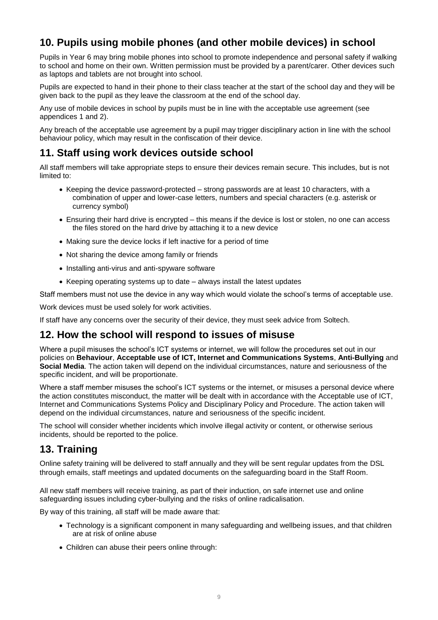## <span id="page-8-0"></span>**10. Pupils using mobile phones (and other mobile devices) in school**

Pupils in Year 6 may bring mobile phones into school to promote independence and personal safety if walking to school and home on their own. Written permission must be provided by a parent/carer. Other devices such as laptops and tablets are not brought into school.

Pupils are expected to hand in their phone to their class teacher at the start of the school day and they will be given back to the pupil as they leave the classroom at the end of the school day.

Any use of mobile devices in school by pupils must be in line with the acceptable use agreement (see appendices 1 and 2).

Any breach of the acceptable use agreement by a pupil may trigger disciplinary action in line with the school behaviour policy, which may result in the confiscation of their device.

## <span id="page-8-1"></span>**11. Staff using work devices outside school**

All staff members will take appropriate steps to ensure their devices remain secure. This includes, but is not limited to:

- Keeping the device password-protected strong passwords are at least 10 characters, with a combination of upper and lower-case letters, numbers and special characters (e.g. asterisk or currency symbol)
- Ensuring their hard drive is encrypted this means if the device is lost or stolen, no one can access the files stored on the hard drive by attaching it to a new device
- Making sure the device locks if left inactive for a period of time
- Not sharing the device among family or friends
- Installing anti-virus and anti-spyware software
- Keeping operating systems up to date always install the latest updates

Staff members must not use the device in any way which would violate the school's terms of acceptable use.

Work devices must be used solely for work activities.

If staff have any concerns over the security of their device, they must seek advice from Soltech.

## <span id="page-8-2"></span>**12. How the school will respond to issues of misuse**

Where a pupil misuses the school's ICT systems or internet, we will follow the procedures set out in our policies on **Behaviour**, **Acceptable use of ICT, Internet and Communications Systems**, **Anti-Bullying** and **Social Media**. The action taken will depend on the individual circumstances, nature and seriousness of the specific incident, and will be proportionate.

Where a staff member misuses the school's ICT systems or the internet, or misuses a personal device where the action constitutes misconduct, the matter will be dealt with in accordance with the Acceptable use of ICT, Internet and Communications Systems Policy and Disciplinary Policy and Procedure. The action taken will depend on the individual circumstances, nature and seriousness of the specific incident.

The school will consider whether incidents which involve illegal activity or content, or otherwise serious incidents, should be reported to the police.

## <span id="page-8-3"></span>**13. Training**

Online safety training will be delivered to staff annually and they will be sent regular updates from the DSL through emails, staff meetings and updated documents on the safeguarding board in the Staff Room.

All new staff members will receive training, as part of their induction, on safe internet use and online safeguarding issues including cyber-bullying and the risks of online radicalisation.

By way of this training, all staff will be made aware that:

- Technology is a significant component in many safeguarding and wellbeing issues, and that children are at risk of online abuse
- Children can abuse their peers online through: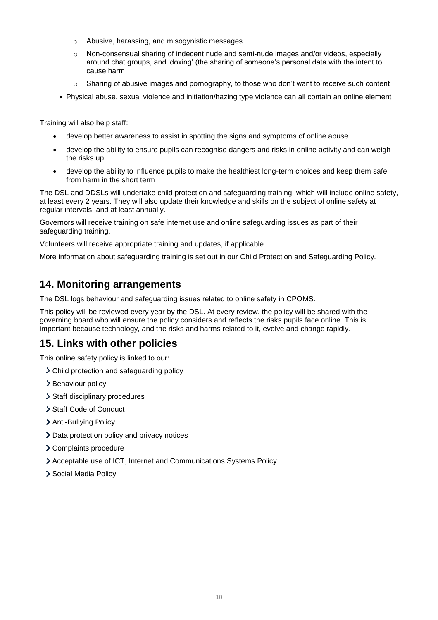- o Abusive, harassing, and misogynistic messages
- o Non-consensual sharing of indecent nude and semi-nude images and/or videos, especially around chat groups, and 'doxing' (the sharing of someone's personal data with the intent to cause harm
- o Sharing of abusive images and pornography, to those who don't want to receive such content
- Physical abuse, sexual violence and initiation/hazing type violence can all contain an online element

Training will also help staff:

- develop better awareness to assist in spotting the signs and symptoms of online abuse
- develop the ability to ensure pupils can recognise dangers and risks in online activity and can weigh the risks up
- develop the ability to influence pupils to make the healthiest long-term choices and keep them safe from harm in the short term

The DSL and DDSLs will undertake child protection and safeguarding training, which will include online safety, at least every 2 years. They will also update their knowledge and skills on the subject of online safety at regular intervals, and at least annually.

Governors will receive training on safe internet use and online safeguarding issues as part of their safeguarding training.

Volunteers will receive appropriate training and updates, if applicable.

More information about safeguarding training is set out in our Child Protection and Safeguarding Policy.

## <span id="page-9-0"></span>**14. Monitoring arrangements**

The DSL logs behaviour and safeguarding issues related to online safety in CPOMS.

This policy will be reviewed every year by the DSL. At every review, the policy will be shared with the governing board who will ensure the policy considers and reflects the risks pupils face online. This is important because technology, and the risks and harms related to it, evolve and change rapidly.

## <span id="page-9-1"></span>**15. Links with other policies**

This online safety policy is linked to our:

- Child protection and safeguarding policy
- > Behaviour policy
- > Staff disciplinary procedures
- > Staff Code of Conduct
- > Anti-Bullying Policy
- > Data protection policy and privacy notices
- Complaints procedure
- Acceptable use of ICT, Internet and Communications Systems Policy
- > Social Media Policy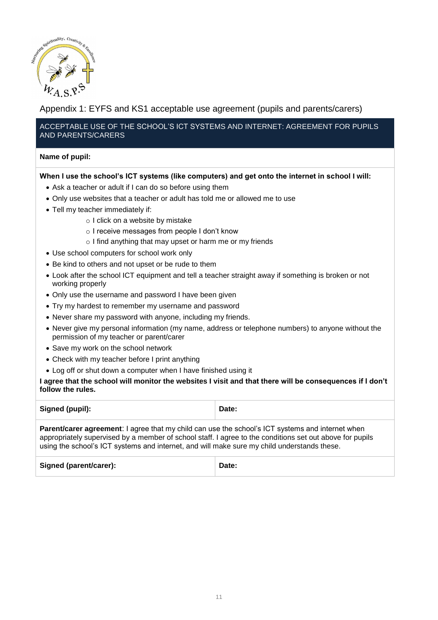<span id="page-10-0"></span>

## Appendix 1: EYFS and KS1 acceptable use agreement (pupils and parents/carers)

#### ACCEPTABLE USE OF THE SCHOOL'S ICT SYSTEMS AND INTERNET: AGREEMENT FOR PUPILS AND PARENTS/CARERS

#### **Name of pupil:**

#### **When I use the school's ICT systems (like computers) and get onto the internet in school I will:**

- Ask a teacher or adult if I can do so before using them
- Only use websites that a teacher or adult has told me or allowed me to use
- Tell my teacher immediately if:
	- o I click on a website by mistake
	- o I receive messages from people I don't know
	- o I find anything that may upset or harm me or my friends
- Use school computers for school work only
- Be kind to others and not upset or be rude to them
- Look after the school ICT equipment and tell a teacher straight away if something is broken or not working properly
- Only use the username and password I have been given
- Try my hardest to remember my username and password
- Never share my password with anyone, including my friends.
- Never give my personal information (my name, address or telephone numbers) to anyone without the permission of my teacher or parent/carer
- Save my work on the school network
- Check with my teacher before I print anything
- Log off or shut down a computer when I have finished using it

#### **I agree that the school will monitor the websites I visit and that there will be consequences if I don't follow the rules.**

| Signed (pupil):                                                                                                                                                                                                                                                                                                    | Date: |  |  |  |
|--------------------------------------------------------------------------------------------------------------------------------------------------------------------------------------------------------------------------------------------------------------------------------------------------------------------|-------|--|--|--|
| <b>Parent/carer agreement:</b> I agree that my child can use the school's ICT systems and internet when<br>appropriately supervised by a member of school staff. I agree to the conditions set out above for pupils<br>using the school's ICT systems and internet, and will make sure my child understands these. |       |  |  |  |
| Signed (parent/carer):                                                                                                                                                                                                                                                                                             | Date: |  |  |  |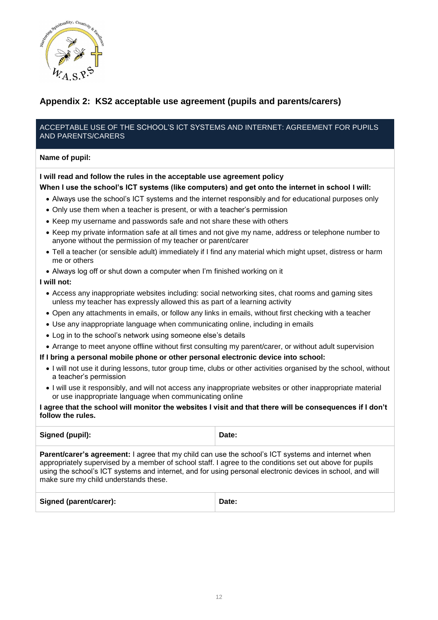

## **Appendix 2: KS2 acceptable use agreement (pupils and parents/carers)**

#### ACCEPTABLE USE OF THE SCHOOL'S ICT SYSTEMS AND INTERNET: AGREEMENT FOR PUPILS AND PARENTS/CARERS

#### **Name of pupil:**

#### **I will read and follow the rules in the acceptable use agreement policy**

#### **When I use the school's ICT systems (like computers) and get onto the internet in school I will:**

- Always use the school's ICT systems and the internet responsibly and for educational purposes only
- Only use them when a teacher is present, or with a teacher's permission
- Keep my username and passwords safe and not share these with others
- Keep my private information safe at all times and not give my name, address or telephone number to anyone without the permission of my teacher or parent/carer
- Tell a teacher (or sensible adult) immediately if I find any material which might upset, distress or harm me or others
- Always log off or shut down a computer when I'm finished working on it

#### **I will not:**

- Access any inappropriate websites including: social networking sites, chat rooms and gaming sites unless my teacher has expressly allowed this as part of a learning activity
- Open any attachments in emails, or follow any links in emails, without first checking with a teacher
- Use any inappropriate language when communicating online, including in emails
- Log in to the school's network using someone else's details
- Arrange to meet anyone offline without first consulting my parent/carer, or without adult supervision

#### **If I bring a personal mobile phone or other personal electronic device into school:**

- I will not use it during lessons, tutor group time, clubs or other activities organised by the school, without a teacher's permission
- I will use it responsibly, and will not access any inappropriate websites or other inappropriate material or use inappropriate language when communicating online

#### **I agree that the school will monitor the websites I visit and that there will be consequences if I don't follow the rules.**

| Signed (pupil):                                                                                                                                                                                                                                                                                                                                                              | Date: |  |  |
|------------------------------------------------------------------------------------------------------------------------------------------------------------------------------------------------------------------------------------------------------------------------------------------------------------------------------------------------------------------------------|-------|--|--|
| <b>Parent/carer's agreement:</b> I agree that my child can use the school's ICT systems and internet when<br>appropriately supervised by a member of school staff. I agree to the conditions set out above for pupils<br>using the school's ICT systems and internet, and for using personal electronic devices in school, and will<br>make sure my child understands these. |       |  |  |